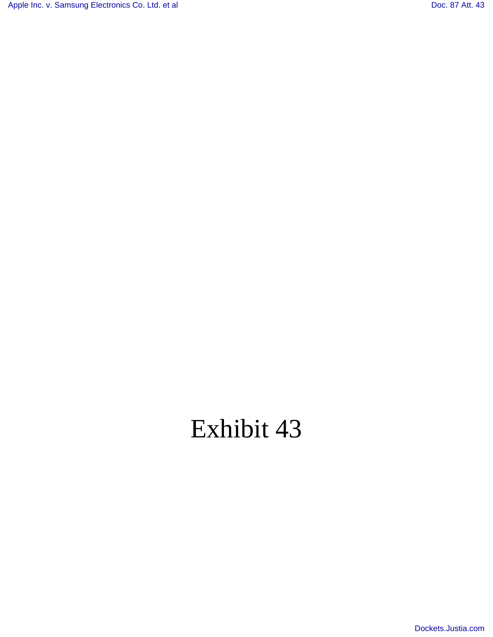[Apple Inc. v. Samsung Electronics Co. Ltd. et al](http://dockets.justia.com/docket/california/candce/5:2011cv01846/239768/) [Doc. 87 Att. 43](http://docs.justia.com/cases/federal/district-courts/california/candce/5:2011cv01846/239768/87/43.html)

# Exhibit 43

[Dockets.Justia.com](http://dockets.justia.com/)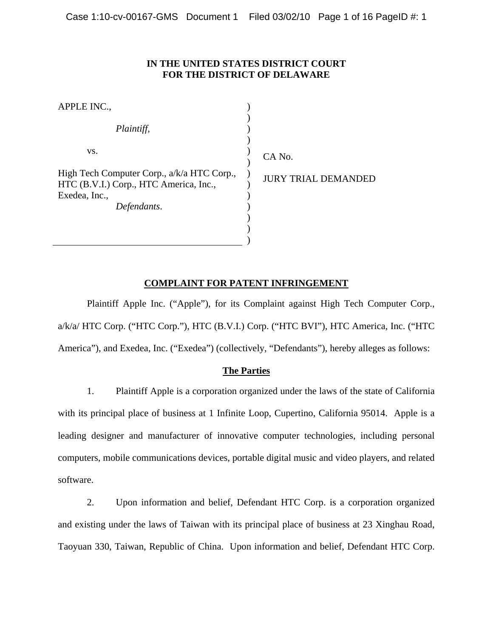# **IN THE UNITED STATES DISTRICT COURT FOR THE DISTRICT OF DELAWARE**

| APPLE INC.,                                                                          |                                 |
|--------------------------------------------------------------------------------------|---------------------------------|
| Plaintiff,                                                                           |                                 |
| VS.                                                                                  | CA No.                          |
| High Tech Computer Corp., a/k/a HTC Corp.,<br>HTC (B.V.I.) Corp., HTC America, Inc., | <b>JURY TRIAL DEMANI</b><br>DED |
| Exedea, Inc.,<br>Defendants.                                                         |                                 |
|                                                                                      |                                 |
|                                                                                      |                                 |

# **COMPLAINT FOR PATENT INFRINGEMENT**

Plaintiff Apple Inc. ("Apple"), for its Complaint against High Tech Computer Corp., a/k/a/ HTC Corp. ("HTC Corp."), HTC (B.V.I.) Corp. ("HTC BVI"), HTC America, Inc. ("HTC America"), and Exedea, Inc. ("Exedea") (collectively, "Defendants"), hereby alleges as follows:

# **The Parties**

1. Plaintiff Apple is a corporation organized under the laws of the state of California with its principal place of business at 1 Infinite Loop, Cupertino, California 95014. Apple is a leading designer and manufacturer of innovative computer technologies, including personal computers, mobile communications devices, portable digital music and video players, and related software.

2. Upon information and belief, Defendant HTC Corp. is a corporation organized and existing under the laws of Taiwan with its principal place of business at 23 Xinghau Road, Taoyuan 330, Taiwan, Republic of China. Upon information and belief, Defendant HTC Corp.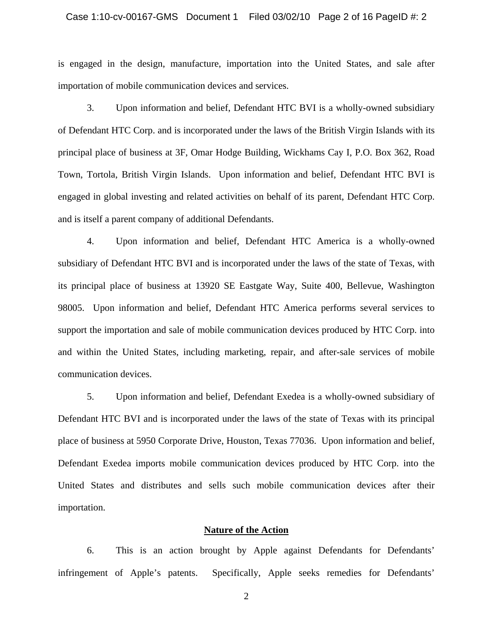#### Case 1:10-cv-00167-GMS Document 1 Filed 03/02/10 Page 2 of 16 PageID #: 2

is engaged in the design, manufacture, importation into the United States, and sale after importation of mobile communication devices and services.

3. Upon information and belief, Defendant HTC BVI is a wholly-owned subsidiary of Defendant HTC Corp. and is incorporated under the laws of the British Virgin Islands with its principal place of business at 3F, Omar Hodge Building, Wickhams Cay I, P.O. Box 362, Road Town, Tortola, British Virgin Islands. Upon information and belief, Defendant HTC BVI is engaged in global investing and related activities on behalf of its parent, Defendant HTC Corp. and is itself a parent company of additional Defendants.

4. Upon information and belief, Defendant HTC America is a wholly-owned subsidiary of Defendant HTC BVI and is incorporated under the laws of the state of Texas, with its principal place of business at 13920 SE Eastgate Way, Suite 400, Bellevue, Washington 98005. Upon information and belief, Defendant HTC America performs several services to support the importation and sale of mobile communication devices produced by HTC Corp. into and within the United States, including marketing, repair, and after-sale services of mobile communication devices.

5. Upon information and belief, Defendant Exedea is a wholly-owned subsidiary of Defendant HTC BVI and is incorporated under the laws of the state of Texas with its principal place of business at 5950 Corporate Drive, Houston, Texas 77036. Upon information and belief, Defendant Exedea imports mobile communication devices produced by HTC Corp. into the United States and distributes and sells such mobile communication devices after their importation.

## **Nature of the Action**

6. This is an action brought by Apple against Defendants for Defendants' infringement of Apple's patents. Specifically, Apple seeks remedies for Defendants'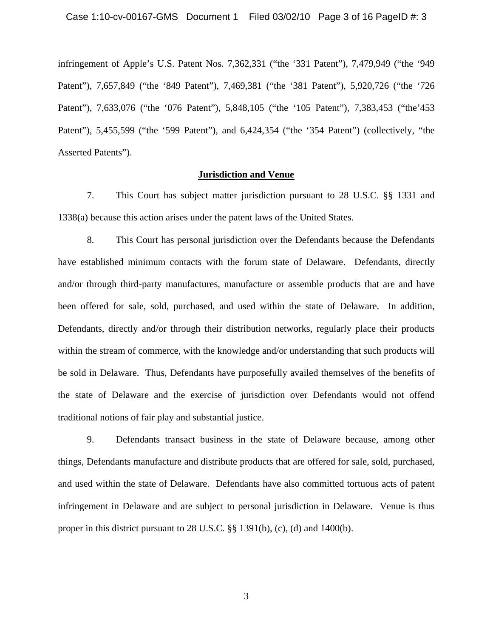infringement of Apple's U.S. Patent Nos. 7,362,331 ("the '331 Patent"), 7,479,949 ("the '949 Patent"), 7,657,849 ("the '849 Patent"), 7,469,381 ("the '381 Patent"), 5,920,726 ("the '726 Patent"), 7,633,076 ("the '076 Patent"), 5,848,105 ("the '105 Patent"), 7,383,453 ("the'453 Patent"), 5,455,599 ("the '599 Patent"), and 6,424,354 ("the '354 Patent") (collectively, "the Asserted Patents").

# **Jurisdiction and Venue**

7. This Court has subject matter jurisdiction pursuant to 28 U.S.C. §§ 1331 and 1338(a) because this action arises under the patent laws of the United States.

8. This Court has personal jurisdiction over the Defendants because the Defendants have established minimum contacts with the forum state of Delaware. Defendants, directly and/or through third-party manufactures, manufacture or assemble products that are and have been offered for sale, sold, purchased, and used within the state of Delaware. In addition, Defendants, directly and/or through their distribution networks, regularly place their products within the stream of commerce, with the knowledge and/or understanding that such products will be sold in Delaware. Thus, Defendants have purposefully availed themselves of the benefits of the state of Delaware and the exercise of jurisdiction over Defendants would not offend traditional notions of fair play and substantial justice.

9. Defendants transact business in the state of Delaware because, among other things, Defendants manufacture and distribute products that are offered for sale, sold, purchased, and used within the state of Delaware. Defendants have also committed tortuous acts of patent infringement in Delaware and are subject to personal jurisdiction in Delaware. Venue is thus proper in this district pursuant to 28 U.S.C. §§ 1391(b), (c), (d) and 1400(b).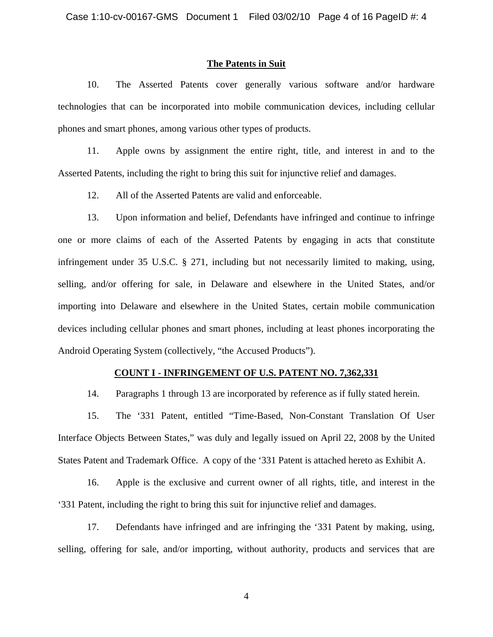## **The Patents in Suit**

10. The Asserted Patents cover generally various software and/or hardware technologies that can be incorporated into mobile communication devices, including cellular phones and smart phones, among various other types of products.

11. Apple owns by assignment the entire right, title, and interest in and to the Asserted Patents, including the right to bring this suit for injunctive relief and damages.

12. All of the Asserted Patents are valid and enforceable.

13. Upon information and belief, Defendants have infringed and continue to infringe one or more claims of each of the Asserted Patents by engaging in acts that constitute infringement under 35 U.S.C. § 271, including but not necessarily limited to making, using, selling, and/or offering for sale, in Delaware and elsewhere in the United States, and/or importing into Delaware and elsewhere in the United States, certain mobile communication devices including cellular phones and smart phones, including at least phones incorporating the Android Operating System (collectively, "the Accused Products").

# **COUNT I - INFRINGEMENT OF U.S. PATENT NO. 7,362,331**

14. Paragraphs 1 through 13 are incorporated by reference as if fully stated herein.

15. The '331 Patent, entitled "Time-Based, Non-Constant Translation Of User Interface Objects Between States," was duly and legally issued on April 22, 2008 by the United States Patent and Trademark Office. A copy of the '331 Patent is attached hereto as Exhibit A.

16. Apple is the exclusive and current owner of all rights, title, and interest in the '331 Patent, including the right to bring this suit for injunctive relief and damages.

17. Defendants have infringed and are infringing the '331 Patent by making, using, selling, offering for sale, and/or importing, without authority, products and services that are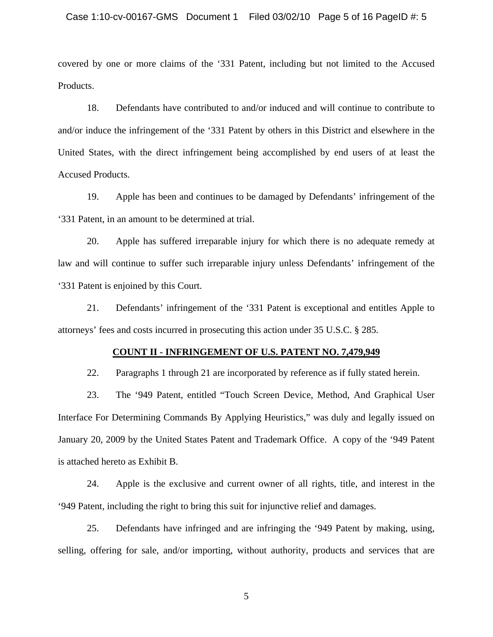covered by one or more claims of the '331 Patent, including but not limited to the Accused Products.

18. Defendants have contributed to and/or induced and will continue to contribute to and/or induce the infringement of the '331 Patent by others in this District and elsewhere in the United States, with the direct infringement being accomplished by end users of at least the Accused Products.

19. Apple has been and continues to be damaged by Defendants' infringement of the '331 Patent, in an amount to be determined at trial.

20. Apple has suffered irreparable injury for which there is no adequate remedy at law and will continue to suffer such irreparable injury unless Defendants' infringement of the '331 Patent is enjoined by this Court.

21. Defendants' infringement of the '331 Patent is exceptional and entitles Apple to attorneys' fees and costs incurred in prosecuting this action under 35 U.S.C. § 285.

#### **COUNT II - INFRINGEMENT OF U.S. PATENT NO. 7,479,949**

22. Paragraphs 1 through 21 are incorporated by reference as if fully stated herein.

23. The '949 Patent, entitled "Touch Screen Device, Method, And Graphical User Interface For Determining Commands By Applying Heuristics," was duly and legally issued on January 20, 2009 by the United States Patent and Trademark Office. A copy of the '949 Patent is attached hereto as Exhibit B.

24. Apple is the exclusive and current owner of all rights, title, and interest in the '949 Patent, including the right to bring this suit for injunctive relief and damages.

25. Defendants have infringed and are infringing the '949 Patent by making, using, selling, offering for sale, and/or importing, without authority, products and services that are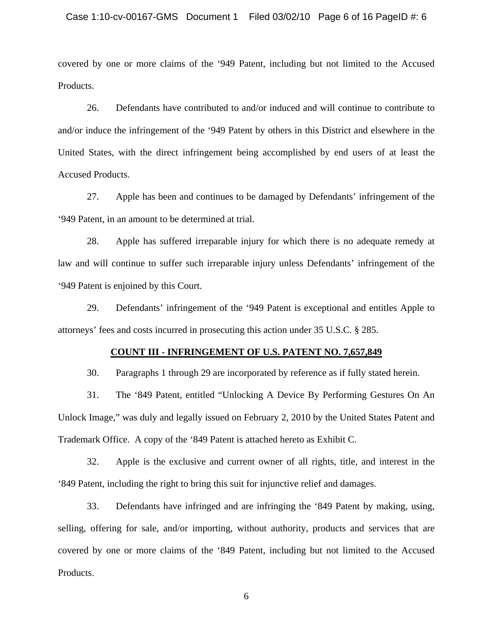covered by one or more claims of the '949 Patent, including but not limited to the Accused Products.

26. Defendants have contributed to and/or induced and will continue to contribute to and/or induce the infringement of the '949 Patent by others in this District and elsewhere in the United States, with the direct infringement being accomplished by end users of at least the Accused Products.

27. Apple has been and continues to be damaged by Defendants' infringement of the '949 Patent, in an amount to be determined at trial.

28. Apple has suffered irreparable injury for which there is no adequate remedy at law and will continue to suffer such irreparable injury unless Defendants' infringement of the '949 Patent is enjoined by this Court.

29. Defendants' infringement of the '949 Patent is exceptional and entitles Apple to attorneys' fees and costs incurred in prosecuting this action under 35 U.S.C. § 285.

#### **COUNT III - INFRINGEMENT OF U.S. PATENT NO. 7,657,849**

30. Paragraphs 1 through 29 are incorporated by reference as if fully stated herein.

31. The '849 Patent, entitled "Unlocking A Device By Performing Gestures On An Unlock Image," was duly and legally issued on February 2, 2010 by the United States Patent and Trademark Office. A copy of the '849 Patent is attached hereto as Exhibit C.

32. Apple is the exclusive and current owner of all rights, title, and interest in the '849 Patent, including the right to bring this suit for injunctive relief and damages.

33. Defendants have infringed and are infringing the '849 Patent by making, using, selling, offering for sale, and/or importing, without authority, products and services that are covered by one or more claims of the '849 Patent, including but not limited to the Accused Products.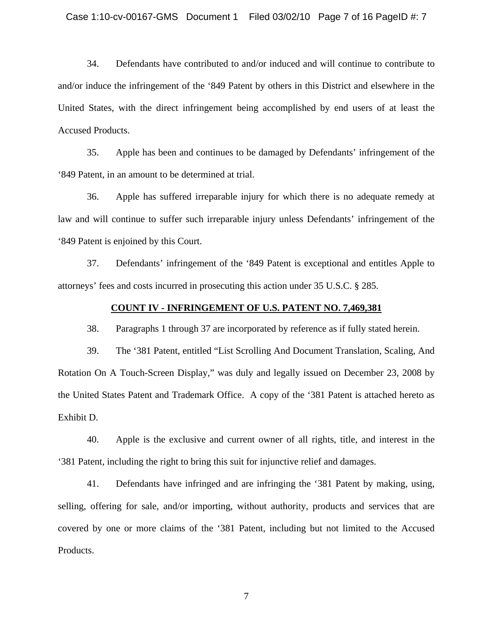34. Defendants have contributed to and/or induced and will continue to contribute to and/or induce the infringement of the '849 Patent by others in this District and elsewhere in the United States, with the direct infringement being accomplished by end users of at least the Accused Products.

35. Apple has been and continues to be damaged by Defendants' infringement of the '849 Patent, in an amount to be determined at trial.

36. Apple has suffered irreparable injury for which there is no adequate remedy at law and will continue to suffer such irreparable injury unless Defendants' infringement of the '849 Patent is enjoined by this Court.

37. Defendants' infringement of the '849 Patent is exceptional and entitles Apple to attorneys' fees and costs incurred in prosecuting this action under 35 U.S.C. § 285.

## **COUNT IV - INFRINGEMENT OF U.S. PATENT NO. 7,469,381**

38. Paragraphs 1 through 37 are incorporated by reference as if fully stated herein.

39. The '381 Patent, entitled "List Scrolling And Document Translation, Scaling, And Rotation On A Touch-Screen Display," was duly and legally issued on December 23, 2008 by the United States Patent and Trademark Office. A copy of the '381 Patent is attached hereto as Exhibit D.

40. Apple is the exclusive and current owner of all rights, title, and interest in the '381 Patent, including the right to bring this suit for injunctive relief and damages.

41. Defendants have infringed and are infringing the '381 Patent by making, using, selling, offering for sale, and/or importing, without authority, products and services that are covered by one or more claims of the '381 Patent, including but not limited to the Accused Products.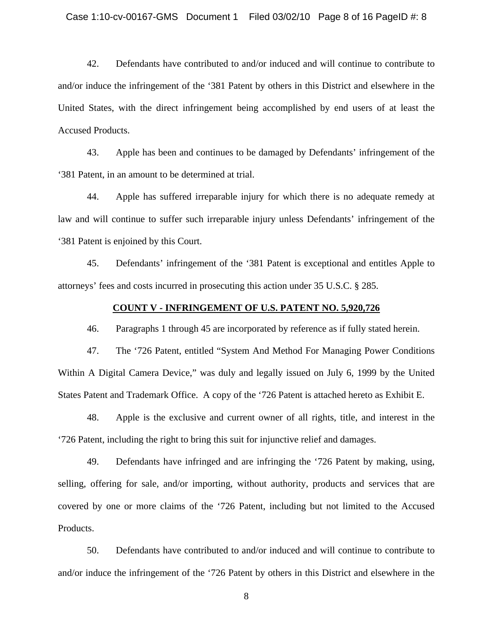42. Defendants have contributed to and/or induced and will continue to contribute to and/or induce the infringement of the '381 Patent by others in this District and elsewhere in the United States, with the direct infringement being accomplished by end users of at least the Accused Products.

43. Apple has been and continues to be damaged by Defendants' infringement of the '381 Patent, in an amount to be determined at trial.

44. Apple has suffered irreparable injury for which there is no adequate remedy at law and will continue to suffer such irreparable injury unless Defendants' infringement of the '381 Patent is enjoined by this Court.

45. Defendants' infringement of the '381 Patent is exceptional and entitles Apple to attorneys' fees and costs incurred in prosecuting this action under 35 U.S.C. § 285.

## **COUNT V - INFRINGEMENT OF U.S. PATENT NO. 5,920,726**

46. Paragraphs 1 through 45 are incorporated by reference as if fully stated herein.

47. The '726 Patent, entitled "System And Method For Managing Power Conditions Within A Digital Camera Device," was duly and legally issued on July 6, 1999 by the United States Patent and Trademark Office. A copy of the '726 Patent is attached hereto as Exhibit E.

48. Apple is the exclusive and current owner of all rights, title, and interest in the '726 Patent, including the right to bring this suit for injunctive relief and damages.

49. Defendants have infringed and are infringing the '726 Patent by making, using, selling, offering for sale, and/or importing, without authority, products and services that are covered by one or more claims of the '726 Patent, including but not limited to the Accused Products.

50. Defendants have contributed to and/or induced and will continue to contribute to and/or induce the infringement of the '726 Patent by others in this District and elsewhere in the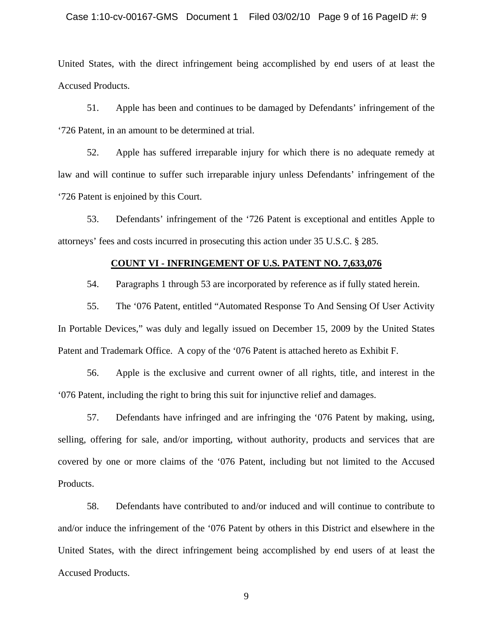# Case 1:10-cv-00167-GMS Document 1 Filed 03/02/10 Page 9 of 16 PageID #: 9

United States, with the direct infringement being accomplished by end users of at least the Accused Products.

51. Apple has been and continues to be damaged by Defendants' infringement of the '726 Patent, in an amount to be determined at trial.

52. Apple has suffered irreparable injury for which there is no adequate remedy at law and will continue to suffer such irreparable injury unless Defendants' infringement of the '726 Patent is enjoined by this Court.

53. Defendants' infringement of the '726 Patent is exceptional and entitles Apple to attorneys' fees and costs incurred in prosecuting this action under 35 U.S.C. § 285.

# **COUNT VI - INFRINGEMENT OF U.S. PATENT NO. 7,633,076**

54. Paragraphs 1 through 53 are incorporated by reference as if fully stated herein.

55. The '076 Patent, entitled "Automated Response To And Sensing Of User Activity In Portable Devices," was duly and legally issued on December 15, 2009 by the United States Patent and Trademark Office. A copy of the '076 Patent is attached hereto as Exhibit F.

56. Apple is the exclusive and current owner of all rights, title, and interest in the '076 Patent, including the right to bring this suit for injunctive relief and damages.

57. Defendants have infringed and are infringing the '076 Patent by making, using, selling, offering for sale, and/or importing, without authority, products and services that are covered by one or more claims of the '076 Patent, including but not limited to the Accused Products.

58. Defendants have contributed to and/or induced and will continue to contribute to and/or induce the infringement of the '076 Patent by others in this District and elsewhere in the United States, with the direct infringement being accomplished by end users of at least the Accused Products.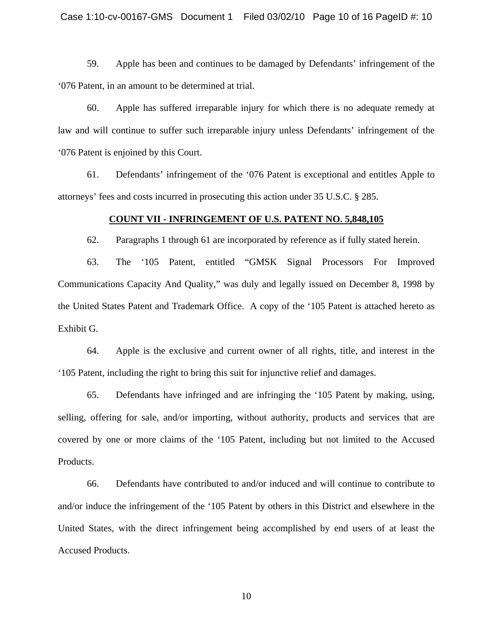59. Apple has been and continues to be damaged by Defendants' infringement of the '076 Patent, in an amount to be determined at trial.

60. Apple has suffered irreparable injury for which there is no adequate remedy at law and will continue to suffer such irreparable injury unless Defendants' infringement of the '076 Patent is enjoined by this Court.

61. Defendants' infringement of the '076 Patent is exceptional and entitles Apple to attorneys' fees and costs incurred in prosecuting this action under 35 U.S.C. § 285.

## **COUNT VII - INFRINGEMENT OF U.S. PATENT NO. 5,848,105**

62. Paragraphs 1 through 61 are incorporated by reference as if fully stated herein.

63. The '105 Patent, entitled "GMSK Signal Processors For Improved Communications Capacity And Quality," was duly and legally issued on December 8, 1998 by the United States Patent and Trademark Office. A copy of the '105 Patent is attached hereto as Exhibit G.

64. Apple is the exclusive and current owner of all rights, title, and interest in the '105 Patent, including the right to bring this suit for injunctive relief and damages.

65. Defendants have infringed and are infringing the '105 Patent by making, using, selling, offering for sale, and/or importing, without authority, products and services that are covered by one or more claims of the '105 Patent, including but not limited to the Accused Products.

66. Defendants have contributed to and/or induced and will continue to contribute to and/or induce the infringement of the '105 Patent by others in this District and elsewhere in the United States, with the direct infringement being accomplished by end users of at least the Accused Products.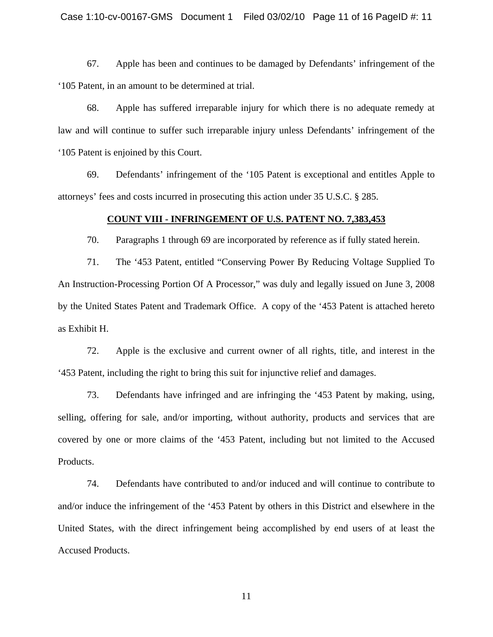67. Apple has been and continues to be damaged by Defendants' infringement of the '105 Patent, in an amount to be determined at trial.

68. Apple has suffered irreparable injury for which there is no adequate remedy at law and will continue to suffer such irreparable injury unless Defendants' infringement of the '105 Patent is enjoined by this Court.

69. Defendants' infringement of the '105 Patent is exceptional and entitles Apple to attorneys' fees and costs incurred in prosecuting this action under 35 U.S.C. § 285.

#### **COUNT VIII - INFRINGEMENT OF U.S. PATENT NO. 7,383,453**

70. Paragraphs 1 through 69 are incorporated by reference as if fully stated herein.

71. The '453 Patent, entitled "Conserving Power By Reducing Voltage Supplied To An Instruction-Processing Portion Of A Processor," was duly and legally issued on June 3, 2008 by the United States Patent and Trademark Office. A copy of the '453 Patent is attached hereto as Exhibit H.

72. Apple is the exclusive and current owner of all rights, title, and interest in the '453 Patent, including the right to bring this suit for injunctive relief and damages.

73. Defendants have infringed and are infringing the '453 Patent by making, using, selling, offering for sale, and/or importing, without authority, products and services that are covered by one or more claims of the '453 Patent, including but not limited to the Accused Products.

74. Defendants have contributed to and/or induced and will continue to contribute to and/or induce the infringement of the '453 Patent by others in this District and elsewhere in the United States, with the direct infringement being accomplished by end users of at least the Accused Products.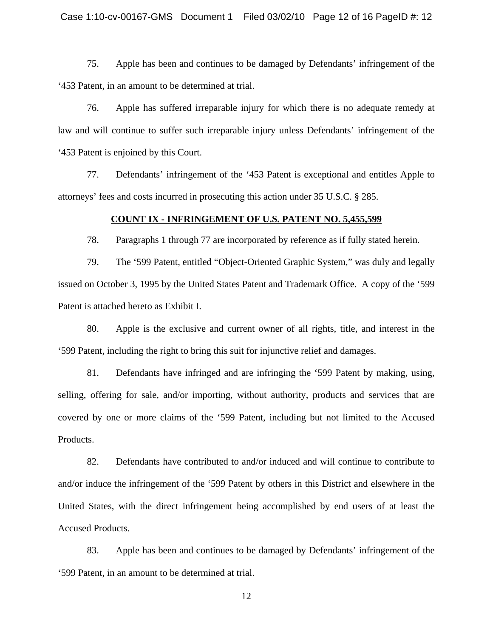75. Apple has been and continues to be damaged by Defendants' infringement of the '453 Patent, in an amount to be determined at trial.

76. Apple has suffered irreparable injury for which there is no adequate remedy at law and will continue to suffer such irreparable injury unless Defendants' infringement of the '453 Patent is enjoined by this Court.

77. Defendants' infringement of the '453 Patent is exceptional and entitles Apple to attorneys' fees and costs incurred in prosecuting this action under 35 U.S.C. § 285.

## **COUNT IX - INFRINGEMENT OF U.S. PATENT NO. 5,455,599**

78. Paragraphs 1 through 77 are incorporated by reference as if fully stated herein.

79. The '599 Patent, entitled "Object-Oriented Graphic System," was duly and legally issued on October 3, 1995 by the United States Patent and Trademark Office. A copy of the '599 Patent is attached hereto as Exhibit I.

80. Apple is the exclusive and current owner of all rights, title, and interest in the '599 Patent, including the right to bring this suit for injunctive relief and damages.

81. Defendants have infringed and are infringing the '599 Patent by making, using, selling, offering for sale, and/or importing, without authority, products and services that are covered by one or more claims of the '599 Patent, including but not limited to the Accused Products.

82. Defendants have contributed to and/or induced and will continue to contribute to and/or induce the infringement of the '599 Patent by others in this District and elsewhere in the United States, with the direct infringement being accomplished by end users of at least the Accused Products.

83. Apple has been and continues to be damaged by Defendants' infringement of the '599 Patent, in an amount to be determined at trial.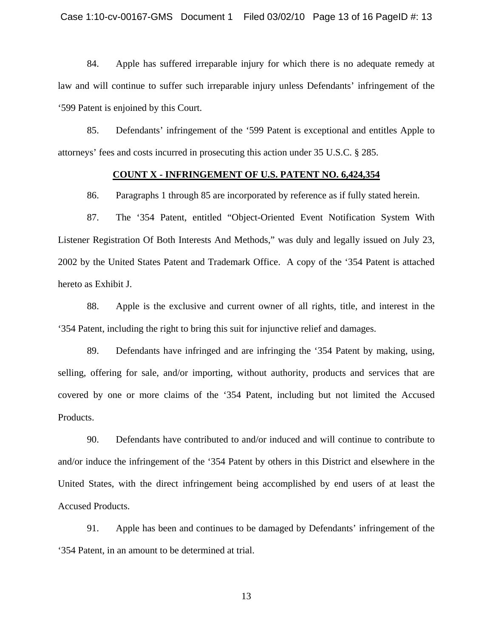84. Apple has suffered irreparable injury for which there is no adequate remedy at law and will continue to suffer such irreparable injury unless Defendants' infringement of the '599 Patent is enjoined by this Court.

85. Defendants' infringement of the '599 Patent is exceptional and entitles Apple to attorneys' fees and costs incurred in prosecuting this action under 35 U.S.C. § 285.

## **COUNT X - INFRINGEMENT OF U.S. PATENT NO. 6,424,354**

86. Paragraphs 1 through 85 are incorporated by reference as if fully stated herein.

87. The '354 Patent, entitled "Object-Oriented Event Notification System With Listener Registration Of Both Interests And Methods," was duly and legally issued on July 23, 2002 by the United States Patent and Trademark Office. A copy of the '354 Patent is attached hereto as Exhibit J.

88. Apple is the exclusive and current owner of all rights, title, and interest in the '354 Patent, including the right to bring this suit for injunctive relief and damages.

89. Defendants have infringed and are infringing the '354 Patent by making, using, selling, offering for sale, and/or importing, without authority, products and services that are covered by one or more claims of the '354 Patent, including but not limited the Accused Products.

90. Defendants have contributed to and/or induced and will continue to contribute to and/or induce the infringement of the '354 Patent by others in this District and elsewhere in the United States, with the direct infringement being accomplished by end users of at least the Accused Products.

91. Apple has been and continues to be damaged by Defendants' infringement of the '354 Patent, in an amount to be determined at trial.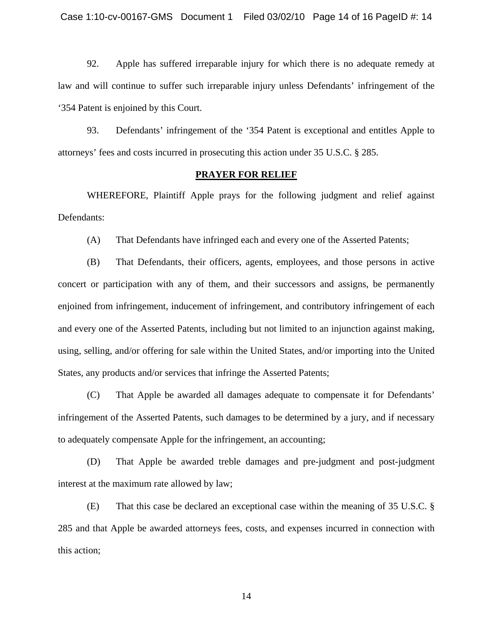92. Apple has suffered irreparable injury for which there is no adequate remedy at law and will continue to suffer such irreparable injury unless Defendants' infringement of the '354 Patent is enjoined by this Court.

93. Defendants' infringement of the '354 Patent is exceptional and entitles Apple to attorneys' fees and costs incurred in prosecuting this action under 35 U.S.C. § 285.

## **PRAYER FOR RELIEF**

WHEREFORE, Plaintiff Apple prays for the following judgment and relief against Defendants:

(A) That Defendants have infringed each and every one of the Asserted Patents;

(B) That Defendants, their officers, agents, employees, and those persons in active concert or participation with any of them, and their successors and assigns, be permanently enjoined from infringement, inducement of infringement, and contributory infringement of each and every one of the Asserted Patents, including but not limited to an injunction against making, using, selling, and/or offering for sale within the United States, and/or importing into the United States, any products and/or services that infringe the Asserted Patents;

(C) That Apple be awarded all damages adequate to compensate it for Defendants' infringement of the Asserted Patents, such damages to be determined by a jury, and if necessary to adequately compensate Apple for the infringement, an accounting;

(D) That Apple be awarded treble damages and pre-judgment and post-judgment interest at the maximum rate allowed by law;

(E) That this case be declared an exceptional case within the meaning of 35 U.S.C. § 285 and that Apple be awarded attorneys fees, costs, and expenses incurred in connection with this action;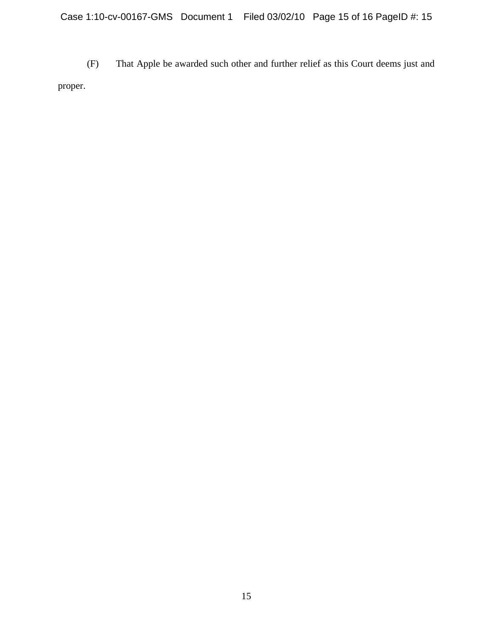(F) That Apple be awarded such other and further relief as this Court deems just and proper.